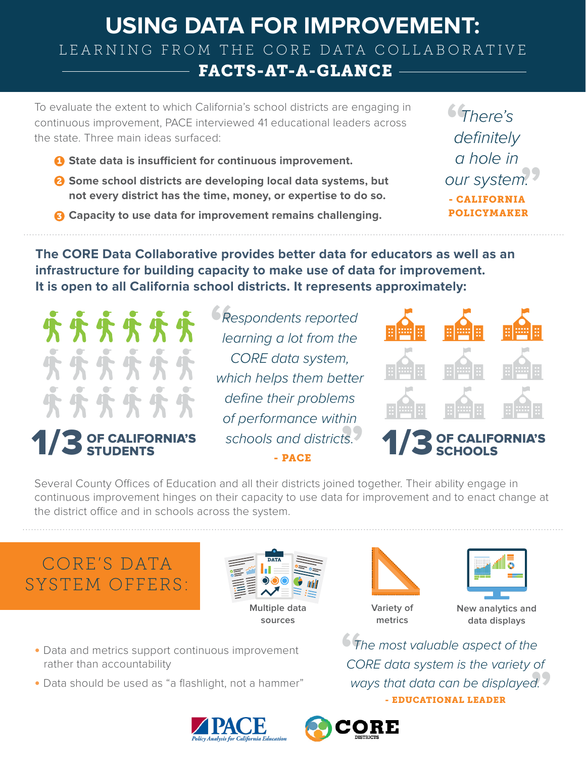### **USING DATA FOR IMPROVEMENT:** LEARNING FROM THE CORE DATA COLLABORATIVE FACTS-AT-A-GLANCE

To evaluate the extent to which California's school districts are engaging in continuous improvement, PACE interviewed 41 educational leaders across the state. Three main ideas surfaced:

- **D** State data is insufficient for continuous improvement.
- **Some school districts are developing local data systems, but**  2 **not every district has the time, money, or expertise to do so.**
- **G** Capacity to use data for improvement remains challenging.

 $^{22}_{1.2}$ 64<br>de *There's definitely a hole in our system.* - CALIFORNIA POLICYMAKER

**The CORE Data Collaborative provides better data for educators as well as an infrastructure for building capacity to make use of data for improvement. It is open to all California school districts. It represents approximately:**



## **13 OF CAL**

OF CALIFORNIA'S schools and districts.<br>STUDENTS - PACE **" "** *Respondents reported learning a lot from the CORE data system, which helps them better define their problems of performance within schools and districts.* - PACE



# SCHOOLS

Several County Offices of Education and all their districts joined together. Their ability engage in continuous improvement hinges on their capacity to use data for improvement and to enact change at the district office and in schools across the system.

### CORE'S DATA SYSTEM OFFERS:



**sources**





**Variety of metrics**

**New analytics and data displays**

 $\overline{d}$ . **"** *The most valuable aspect of the CORE data system is the variety of ways that data can be displayed.* - EDUCATIONAL LEADER



• Data should be used as "a flashlight, not a hammer"